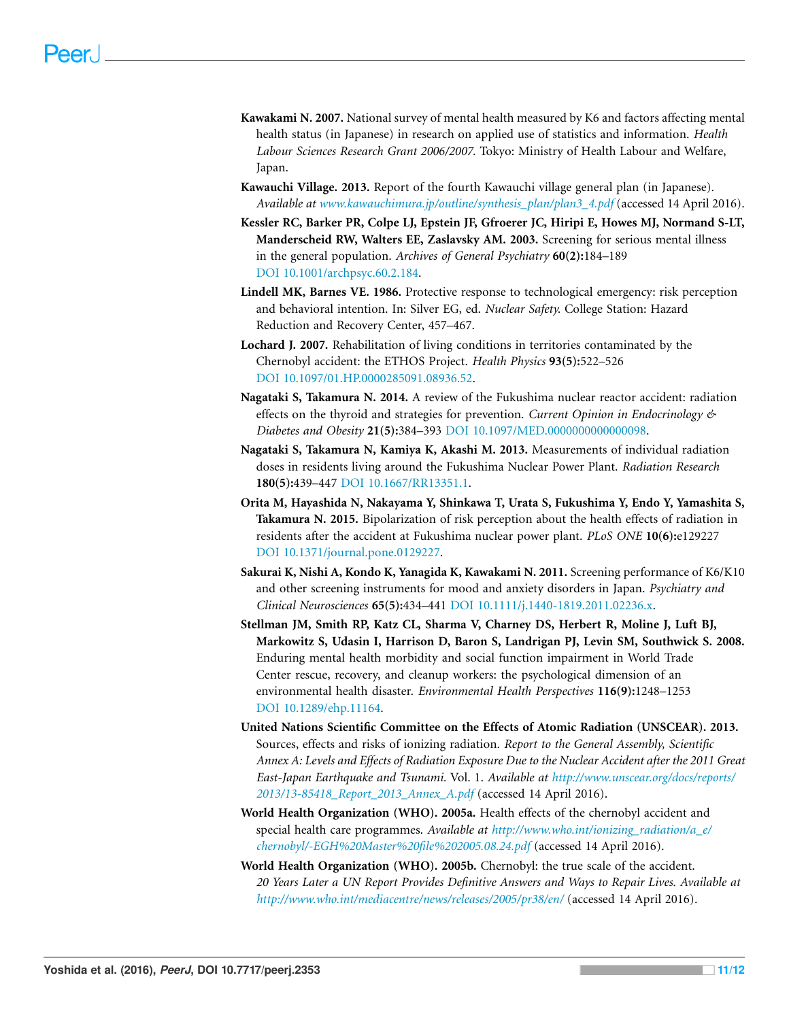- Kawakami N. 2007. National survey of mental health measured by K6 and factors affecting mental health status (in Japanese) in research on applied use of statistics and information. Health Labour Sciences Research Grant 2006/2007. Tokyo: Ministry of Health Labour and Welfare, Japan.
- Kawauchi Village. 2013. Report of the fourth Kawauchi village general plan (in Japanese). Available at [www.kawauchimura.jp/outline/synthesis\\_plan/plan3\\_4.pdf](www.kawauchimura.jp/outline/synthesis_plan/plan3_4.pdf) (accessed 14 April 2016).
- Kessler RC, Barker PR, Colpe LJ, Epstein JF, Gfroerer JC, Hiripi E, Howes MJ, Normand S-LT, Manderscheid RW, Walters EE, Zaslavsky AM. 2003. Screening for serious mental illness in the general population. Archives of General Psychiatry 60(2):184–189 [DOI 10.1001/archpsyc.60.2.184.](http://dx.doi.org/10.1001/archpsyc.60.2.184)
- Lindell MK, Barnes VE. 1986. Protective response to technological emergency: risk perception and behavioral intention. In: Silver EG, ed. Nuclear Safety. College Station: Hazard Reduction and Recovery Center, 457–467.
- Lochard J. 2007. Rehabilitation of living conditions in territories contaminated by the Chernobyl accident: the ETHOS Project. Health Physics 93(5):522–526 [DOI 10.1097/01.HP.0000285091.08936.52.](http://dx.doi.org/10.1097/01.HP.0000285091.08936.52)
- Nagataki S, Takamura N. 2014. A review of the Fukushima nuclear reactor accident: radiation effects on the thyroid and strategies for prevention. Current Opinion in Endocrinology  $\phi$ Diabetes and Obesity 21(5):384–393 [DOI 10.1097/MED.0000000000000098.](http://dx.doi.org/10.1097/MED.0000000000000098)
- Nagataki S, Takamura N, Kamiya K, Akashi M. 2013. Measurements of individual radiation doses in residents living around the Fukushima Nuclear Power Plant. Radiation Research 180(5):439–447 [DOI 10.1667/RR13351.1.](http://dx.doi.org/10.1667/RR13351.1)
- Orita M, Hayashida N, Nakayama Y, Shinkawa T, Urata S, Fukushima Y, Endo Y, Yamashita S, Takamura N. 2015. Bipolarization of risk perception about the health effects of radiation in residents after the accident at Fukushima nuclear power plant. PLoS ONE 10(6):e129227 [DOI 10.1371/journal.pone.0129227.](http://dx.doi.org/10.1371/journal.pone.0129227)
- Sakurai K, Nishi A, Kondo K, Yanagida K, Kawakami N. 2011. Screening performance of K6/K10 and other screening instruments for mood and anxiety disorders in Japan. Psychiatry and Clinical Neurosciences 65(5):434–441 [DOI 10.1111/j.1440-1819.2011.02236.x.](http://dx.doi.org/10.1111/j.1440-1819.2011.02236.x)
- Stellman JM, Smith RP, Katz CL, Sharma V, Charney DS, Herbert R, Moline J, Luft BJ, Markowitz S, Udasin I, Harrison D, Baron S, Landrigan PJ, Levin SM, Southwick S. 2008. Enduring mental health morbidity and social function impairment in World Trade Center rescue, recovery, and cleanup workers: the psychological dimension of an environmental health disaster. Environmental Health Perspectives 116(9):1248–1253 [DOI 10.1289/ehp.11164](http://dx.doi.org/10.1289/ehp.11164).
- United Nations Scientific Committee on the Effects of Atomic Radiation (UNSCEAR). 2013. Sources, effects and risks of ionizing radiation. Report to the General Assembly, Scientific Annex A: Levels and Effects of Radiation Exposure Due to the Nuclear Accident after the 2011 Great East-Japan Earthquake and Tsunami. Vol. 1. Available at [http://www.unscear.org/docs/reports/](http://www.unscear.org/docs/reports/2013/13-85418_Report_2013_Annex_A.pdf) [2013/13-85418\\_Report\\_2013\\_Annex\\_A.pdf](http://www.unscear.org/docs/reports/2013/13-85418_Report_2013_Annex_A.pdf) (accessed 14 April 2016).
- World Health Organization (WHO). 2005a. Health effects of the chernobyl accident and special health care programmes. Available at [http://www.who.int/ionizing\\_radiation/a\\_e/](http://www.who.int/ionizing_radiation/a_e/chernobyl/-EGH%20Master%20file%202005.08.24.pdf) [chernobyl/-EGH%20Master%20file%202005.08.24.pdf](http://www.who.int/ionizing_radiation/a_e/chernobyl/-EGH%20Master%20file%202005.08.24.pdf) (accessed 14 April 2016).
- World Health Organization (WHO). 2005b. Chernobyl: the true scale of the accident. 20 Years Later a UN Report Provides Definitive Answers and Ways to Repair Lives. Available at <http://www.who.int/mediacentre/news/releases/2005/pr38/en/> (accessed 14 April 2016).